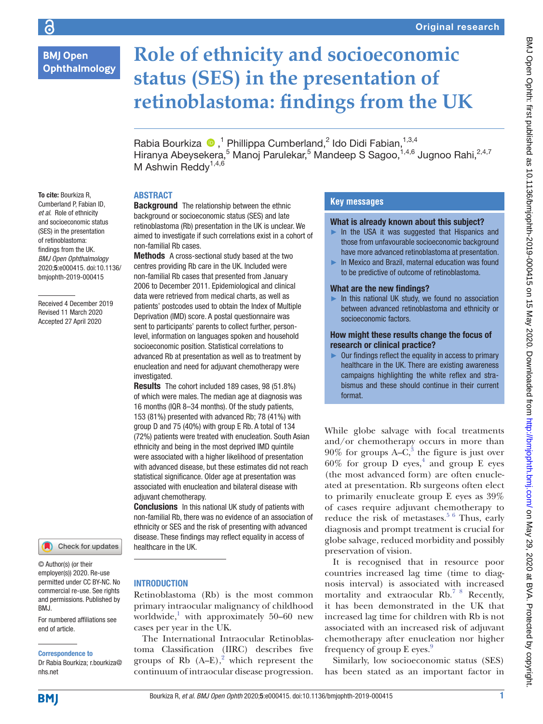# **BMJ Open** Ophthalmology

# **Role of ethnicity and socioeconomic status (SES) in the presentation of retinoblastoma: findings from the UK**

RabiaBourkiza <sup>®</sup>,<sup>1</sup> Phillippa Cumberland,<sup>2</sup> Ido Didi Fabian,<sup>1,3,4</sup> Hiranya Abeysekera,<sup>5</sup> Manoj Parulekar,<sup>5</sup> Mandeep S Sagoo,<sup>1,4,6</sup> Jugnoo Rahi,<sup>2,4,7</sup> M Ashwin Reddy<sup>1,4,6</sup>

# **ABSTRACT**

non-familial Rb cases.

To cite: Bourkiza R, Cumberland P, Fabian ID, *et al*. Role of ethnicity and socioeconomic status (SES) in the presentation of retinoblastoma: findings from the UK. *BMJ Open Ophthalmology* 2020;5:e000415. doi:10.1136/ bmjophth-2019-000415

Received 4 December 2019 Revised 11 March 2020 Accepted 27 April 2020



© Author(s) (or their employer(s)) 2020. Re-use permitted under CC BY-NC. No commercial re-use. See rights and permissions. Published by BMJ.

For numbered affiliations see end of article.

#### Correspondence to

Dr Rabia Bourkiza; r.bourkiza@ nhs.net

# **Background** The relationship between the ethnic background or socioeconomic status (SES) and late retinoblastoma (Rb) presentation in the UK is unclear. We aimed to investigate if such correlations exist in a cohort of

Methods A cross-sectional study based at the two centres providing Rb care in the UK. Included were non-familial Rb cases that presented from January 2006 to December 2011. Epidemiological and clinical data were retrieved from medical charts, as well as patients' postcodes used to obtain the Index of Multiple Deprivation (IMD) score. A postal questionnaire was sent to participants' parents to collect further, personlevel, information on languages spoken and household socioeconomic position. Statistical correlations to advanced Rb at presentation as well as to treatment by enucleation and need for adjuvant chemotherapy were investigated.

Results The cohort included 189 cases, 98 (51.8%) of which were males. The median age at diagnosis was 16 months (IQR 8–34 months). Of the study patients, 153 (81%) presented with advanced Rb; 78 (41%) with group D and 75 (40%) with group E Rb. A total of 134 (72%) patients were treated with enucleation. South Asian ethnicity and being in the most deprived IMD quintile were associated with a higher likelihood of presentation with advanced disease, but these estimates did not reach statistical significance. Older age at presentation was associated with enucleation and bilateral disease with adjuvant chemotherapy.

Conclusions In this national UK study of patients with non-familial Rb, there was no evidence of an association of ethnicity or SES and the risk of presenting with advanced disease. These findings may reflect equality in access of healthcare in the UK.

# **INTRODUCTION**

Retinoblastoma (Rb) is the most common primary intraocular malignancy of childhood worldwide, $\frac{1}{2}$  with approximately 50–60 new cases per year in the UK.

The International Intraocular Retinoblastoma Classification (IIRC) describes five groups of Rb  $(A-E)$ ,<sup>2</sup> which represent the continuum of intraocular disease progression.

# **Key messages**

## What is already known about this subject?

- $\blacktriangleright$  In the USA it was suggested that Hispanics and those from unfavourable socioeconomic background have more advanced retinoblastoma at presentation.
- ► In Mexico and Brazil, maternal education was found to be predictive of outcome of retinoblastoma.

## What are the new findings?

► In this national UK study, we found no association between advanced retinoblastoma and ethnicity or socioeconomic factors.

## How might these results change the focus of research or clinical practice?

► Our findings reflect the equality in access to primary healthcare in the UK. There are existing awareness campaigns highlighting the white reflex and strabismus and these should continue in their current format.

While globe salvage with focal treatments and/or chemotherapy occurs in more than  $90\%$  for groups A– $\overline{C}$ ,<sup>3</sup> the figure is just over  $60\%$  for group D eyes,<sup>4</sup> and group E eyes (the most advanced form) are often enucleated at presentation. Rb surgeons often elect to primarily enucleate group E eyes as 39% of cases require adjuvant chemotherapy to reduce the risk of metastases.<sup>5 6</sup> Thus, early diagnosis and prompt treatment is crucial for globe salvage, reduced morbidity and possibly preservation of vision.

It is recognised that in resource poor countries increased lag time (time to diagnosis interval) is associated with increased mortality and extraocular Rb.<sup>7 8</sup> Recently, it has been demonstrated in the UK that increased lag time for children with Rb is not associated with an increased risk of adjuvant chemotherapy after enucleation nor higher frequency of group E eyes.<sup>[9](#page-5-2)</sup>

Similarly, low socioeconomic status (SES) has been stated as an important factor in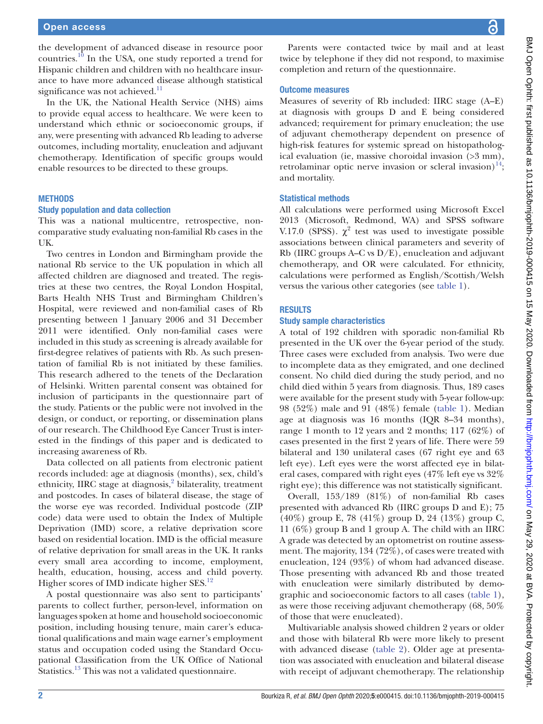the development of advanced disease in resource poor countries[.10](#page-5-3) In the USA, one study reported a trend for Hispanic children and children with no healthcare insurance to have more advanced disease although statistical significance was not achieved.<sup>[11](#page-5-4)</sup>

In the UK, the National Health Service (NHS) aims to provide equal access to healthcare. We were keen to understand which ethnic or socioeconomic groups, if any, were presenting with advanced Rb leading to adverse outcomes, including mortality, enucleation and adjuvant chemotherapy. Identification of specific groups would enable resources to be directed to these groups.

## **METHODS**

#### Study population and data collection

This was a national multicentre, retrospective, noncomparative study evaluating non-familial Rb cases in the UK.

Two centres in London and Birmingham provide the national Rb service to the UK population in which all affected children are diagnosed and treated. The registries at these two centres, the Royal London Hospital, Barts Health NHS Trust and Birmingham Children's Hospital, were reviewed and non-familial cases of Rb presenting between 1 January 2006 and 31 December 2011 were identified. Only non-familial cases were included in this study as screening is already available for first-degree relatives of patients with Rb. As such presentation of familial Rb is not initiated by these families. This research adhered to the tenets of the Declaration of Helsinki. Written parental consent was obtained for inclusion of participants in the questionnaire part of the study. Patients or the public were not involved in the design, or conduct, or reporting, or dissemination plans of our research. The Childhood Eye Cancer Trust is interested in the findings of this paper and is dedicated to increasing awareness of Rb.

Data collected on all patients from electronic patient records included: age at diagnosis (months), sex, child's ethnicity, IIRC stage at diagnosis,<sup>[2](#page-5-5)</sup> bilaterality, treatment and postcodes. In cases of bilateral disease, the stage of the worse eye was recorded. Individual postcode (ZIP code) data were used to obtain the Index of Multiple Deprivation (IMD) score, a relative deprivation score based on residential location. IMD is the official measure of relative deprivation for small areas in the UK. It ranks every small area according to income, employment, health, education, housing, access and child poverty. Higher scores of IMD indicate higher SES.<sup>12</sup>

A postal questionnaire was also sent to participants' parents to collect further, person-level, information on languages spoken at home and household socioeconomic position, including housing tenure, main carer's educational qualifications and main wage earner's employment status and occupation coded using the Standard Occupational Classification from the UK Office of National Statistics.<sup>[13](#page-5-7)</sup> This was not a validated questionnaire.

BMJ Open Ophth: first published as 10.1136/bmjophth-2019-000415 on 15 May 2020. Downloaded from http://bmjophth.bmj.com/ on May 29, 2020 at BVA. Protected by copyright. BMJ Open On May 29, 2020 at BVA. Protected by copyright. <http://bmjophth.bmj.com/> BMJ Ophth.bmj.com/ on May 29, 2020 at BVA. Protected by copyright.

Parents were contacted twice by mail and at least twice by telephone if they did not respond, to maximise completion and return of the questionnaire.

## Outcome measures

Measures of severity of Rb included: IIRC stage (A–E) at diagnosis with groups D and E being considered advanced; requirement for primary enucleation; the use of adjuvant chemotherapy dependent on presence of high-risk features for systemic spread on histopathological evaluation (ie, massive choroidal invasion (>3 mm), retrolaminar optic nerve invasion or scleral invasion) $^{14}$  $^{14}$  $^{14}$ ; and mortality.

## Statistical methods

All calculations were performed using Microsoft Excel 2013 (Microsoft, Redmond, WA) and SPSS software V.17.0 (SPSS).  $\chi^2$  test was used to investigate possible associations between clinical parameters and severity of Rb (IIRC groups A–C vs D/E), enucleation and adjuvant chemotherapy, and OR were calculated. For ethnicity, calculations were performed as English/Scottish/Welsh versus the various other categories (see [table](#page-2-0) 1).

## **RESULTS**

## Study sample characteristics

A total of 192 children with sporadic non-familial Rb presented in the UK over the 6-year period of the study. Three cases were excluded from analysis. Two were due to incomplete data as they emigrated, and one declined consent. No child died during the study period, and no child died within 5 years from diagnosis. Thus, 189 cases were available for the present study with 5-year follow-up: 98 (52%) male and 91 (48%) female ([table](#page-2-0) 1). Median age at diagnosis was 16 months (IQR 8–34 months), range 1 month to 12 years and 2 months; 117 (62%) of cases presented in the first 2 years of life. There were 59 bilateral and 130 unilateral cases (67 right eye and 63 left eye). Left eyes were the worst affected eye in bilateral cases, compared with right eyes (47% left eye vs 32% right eye); this difference was not statistically significant.

Overall, 153/189 (81%) of non-familial Rb cases presented with advanced Rb (IIRC groups D and E); 75 (40%) group E, 78 (41%) group D, 24 (13%) group C, 11 (6%) group B and 1 group A. The child with an IIRC A grade was detected by an optometrist on routine assessment. The majority, 134 (72%), of cases were treated with enucleation, 124 (93%) of whom had advanced disease. Those presenting with advanced Rb and those treated with enucleation were similarly distributed by demographic and socioeconomic factors to all cases ([table](#page-2-0) 1), as were those receiving adjuvant chemotherapy (68, 50% of those that were enucleated).

Multivariable analysis showed children 2 years or older and those with bilateral Rb were more likely to present with advanced disease [\(table](#page-3-0) 2). Older age at presentation was associated with enucleation and bilateral disease with receipt of adjuvant chemotherapy. The relationship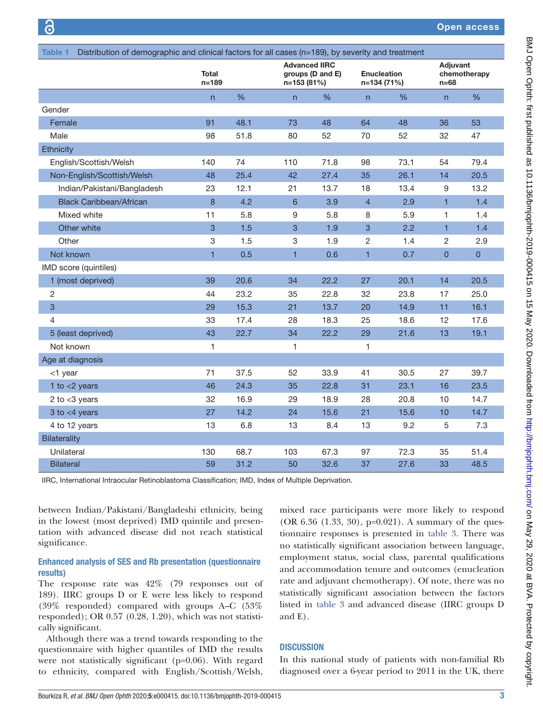Open access

<span id="page-2-0"></span>

| Distribution of demographic and clinical factors for all cases (n=189), by severity and treatment<br>Table 1 |                           |      |                |                                                         |                |                                   |                |                                    |  |
|--------------------------------------------------------------------------------------------------------------|---------------------------|------|----------------|---------------------------------------------------------|----------------|-----------------------------------|----------------|------------------------------------|--|
|                                                                                                              | <b>Total</b><br>$n = 189$ |      |                | <b>Advanced IIRC</b><br>groups (D and E)<br>n=153 (81%) |                | <b>Enucleation</b><br>n=134 (71%) |                | Adjuvant<br>chemotherapy<br>$n=68$ |  |
|                                                                                                              | $\mathsf{n}$              | $\%$ | n              | %                                                       | n              | %                                 | $\mathsf{n}$   | %                                  |  |
| Gender                                                                                                       |                           |      |                |                                                         |                |                                   |                |                                    |  |
| Female                                                                                                       | 91                        | 48.1 | 73             | 48                                                      | 64             | 48                                | 36             | 53                                 |  |
| Male                                                                                                         | 98                        | 51.8 | 80             | 52                                                      | 70             | 52                                | 32             | 47                                 |  |
| Ethnicity                                                                                                    |                           |      |                |                                                         |                |                                   |                |                                    |  |
| English/Scottish/Welsh                                                                                       | 140                       | 74   | 110            | 71.8                                                    | 98             | 73.1                              | 54             | 79.4                               |  |
| Non-English/Scottish/Welsh                                                                                   | 48                        | 25.4 | 42             | 27.4                                                    | 35             | 26.1                              | 14             | 20.5                               |  |
| Indian/Pakistani/Bangladesh                                                                                  | 23                        | 12.1 | 21             | 13.7                                                    | 18             | 13.4                              | 9              | 13.2                               |  |
| <b>Black Caribbean/African</b>                                                                               | 8                         | 4.2  | $6\phantom{1}$ | 3.9                                                     | $\overline{4}$ | 2.9                               | $\mathbf{1}$   | 1.4                                |  |
| Mixed white                                                                                                  | 11                        | 5.8  | 9              | 5.8                                                     | 8              | 5.9                               | $\mathbf{1}$   | 1.4                                |  |
| Other white                                                                                                  | 3                         | 1.5  | 3              | 1.9                                                     | $\overline{3}$ | 2.2                               | $\mathbf{1}$   | 1.4                                |  |
| Other                                                                                                        | 3                         | 1.5  | 3              | 1.9                                                     | $\sqrt{2}$     | 1.4                               | $\overline{c}$ | 2.9                                |  |
| Not known                                                                                                    | $\mathbf{1}$              | 0.5  | $\mathbf{1}$   | 0.6                                                     | $\mathbf{1}$   | 0.7                               | $\pmb{0}$      | $\overline{0}$                     |  |
| IMD score (quintiles)                                                                                        |                           |      |                |                                                         |                |                                   |                |                                    |  |
| 1 (most deprived)                                                                                            | 39                        | 20.6 | 34             | 22.2                                                    | 27             | 20.1                              | 14             | 20.5                               |  |
| $\overline{c}$                                                                                               | 44                        | 23.2 | 35             | 22.8                                                    | 32             | 23.8                              | 17             | 25.0                               |  |
| $\mathbf{3}$                                                                                                 | 29                        | 15.3 | 21             | 13.7                                                    | 20             | 14.9                              | 11             | 16.1                               |  |
| $\overline{4}$                                                                                               | 33                        | 17.4 | 28             | 18.3                                                    | 25             | 18.6                              | 12             | 17.6                               |  |
| 5 (least deprived)                                                                                           | 43                        | 22.7 | 34             | 22.2                                                    | 29             | 21.6                              | 13             | 19.1                               |  |
| Not known                                                                                                    | 1                         |      | 1              |                                                         | $\mathbf{1}$   |                                   |                |                                    |  |
| Age at diagnosis                                                                                             |                           |      |                |                                                         |                |                                   |                |                                    |  |
| <1 year                                                                                                      | 71                        | 37.5 | 52             | 33.9                                                    | 41             | 30.5                              | 27             | 39.7                               |  |
| 1 to $<$ 2 years                                                                                             | 46                        | 24.3 | 35             | 22.8                                                    | 31             | 23.1                              | 16             | 23.5                               |  |
| 2 to $<$ 3 years                                                                                             | 32                        | 16.9 | 29             | 18.9                                                    | 28             | 20.8                              | 10             | 14.7                               |  |
| 3 to $<$ 4 years                                                                                             | 27                        | 14.2 | 24             | 15.6                                                    | 21             | 15.6                              | 10             | 14.7                               |  |
| 4 to 12 years                                                                                                | 13                        | 6.8  | 13             | 8.4                                                     | 13             | 9.2                               | 5              | 7.3                                |  |
| Bilaterality                                                                                                 |                           |      |                |                                                         |                |                                   |                |                                    |  |
| Unilateral                                                                                                   | 130                       | 68.7 | 103            | 67.3                                                    | 97             | 72.3                              | 35             | 51.4                               |  |
| <b>Bilateral</b>                                                                                             | 59                        | 31.2 | 50             | 32.6                                                    | 37             | 27.6                              | 33             | 48.5                               |  |

IIRC, International Intraocular Retinoblastoma Classification; IMD, Index of Multiple Deprivation.

between Indian/Pakistani/Bangladeshi ethnicity, being in the lowest (most deprived) IMD quintile and presentation with advanced disease did not reach statistical significance.

## Enhanced analysis of SES and Rb presentation (questionnaire results)

The response rate was 42% (79 responses out of 189). IIRC groups D or E were less likely to respond (39% responded) compared with groups A–C (53% responded); OR 0.57 (0.28, 1.20), which was not statistically significant.

Although there was a trend towards responding to the questionnaire with higher quantiles of IMD the results were not statistically significant (p=0.06). With regard to ethnicity, compared with English/Scottish/Welsh,

mixed race participants were more likely to respond (OR 6.36 (1.33, 30), p=0.021). A summary of the questionnaire responses is presented in [table](#page-4-0) 3. There was no statistically significant association between language, employment status, social class, parental qualifications and accommodation tenure and outcomes (enucleation rate and adjuvant chemotherapy). Of note, there was no statistically significant association between the factors listed in [table](#page-4-0) 3 and advanced disease (IIRC groups D and E).

# **DISCUSSION**

In this national study of patients with non-familial Rb diagnosed over a 6-year period to 2011 in the UK, there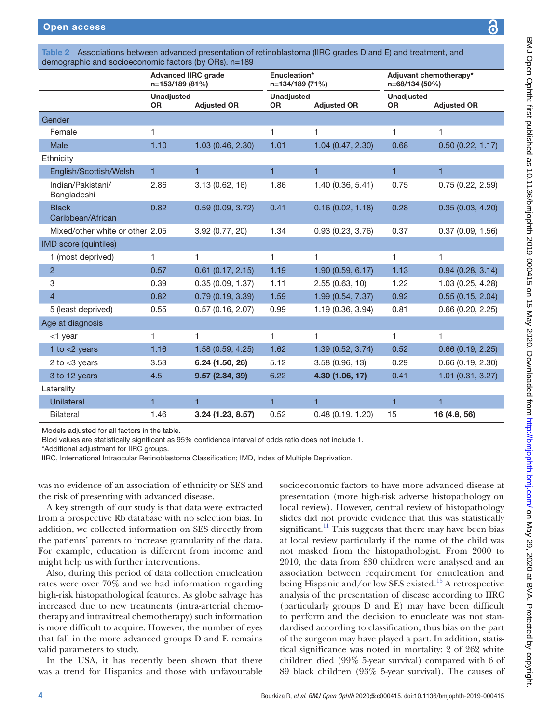<span id="page-3-0"></span>

|                                   | <b>Advanced IIRC grade</b><br>n=153/189 (81%) |                     | Enucleation*<br>n=134/189 (71%) |                    | Adjuvant chemotherapy*<br>n=68/134 (50%) |                    |  |
|-----------------------------------|-----------------------------------------------|---------------------|---------------------------------|--------------------|------------------------------------------|--------------------|--|
|                                   | <b>Unadjusted</b><br><b>OR</b>                | <b>Adjusted OR</b>  | <b>Unadjusted</b><br><b>OR</b>  | <b>Adjusted OR</b> | <b>Unadjusted</b><br><b>OR</b>           | <b>Adjusted OR</b> |  |
| Gender                            |                                               |                     |                                 |                    |                                          |                    |  |
| Female                            | 1                                             |                     | 1                               | 1                  | 1                                        | 1                  |  |
| Male                              | 1.10                                          | 1.03 (0.46, 2.30)   | 1.01                            | 1.04 (0.47, 2.30)  | 0.68                                     | 0.50(0.22, 1.17)   |  |
| Ethnicity                         |                                               |                     |                                 |                    |                                          |                    |  |
| English/Scottish/Welsh            | 1                                             | 1                   | 1                               | 1                  | 1                                        | 1                  |  |
| Indian/Pakistani/<br>Bangladeshi  | 2.86                                          | 3.13 (0.62, 16)     | 1.86                            | 1.40 (0.36, 5.41)  | 0.75                                     | 0.75(0.22, 2.59)   |  |
| <b>Black</b><br>Caribbean/African | 0.82                                          | 0.59(0.09, 3.72)    | 0.41                            | 0.16(0.02, 1.18)   | 0.28                                     | 0.35(0.03, 4.20)   |  |
| Mixed/other white or other 2.05   |                                               | 3.92 (0.77, 20)     | 1.34                            | 0.93(0.23, 3.76)   | 0.37                                     | 0.37(0.09, 1.56)   |  |
| <b>IMD</b> score (quintiles)      |                                               |                     |                                 |                    |                                          |                    |  |
| 1 (most deprived)                 | 1                                             | 1                   | 1                               | 1                  | 1                                        | 1                  |  |
| $\overline{2}$                    | 0.57                                          | $0.61$ (0.17, 2.15) | 1.19                            | 1.90 (0.59, 6.17)  | 1.13                                     | 0.94(0.28, 3.14)   |  |
| 3                                 | 0.39                                          | 0.35(0.09, 1.37)    | 1.11                            | 2.55(0.63, 10)     | 1.22                                     | 1.03 (0.25, 4.28)  |  |
| $\overline{4}$                    | 0.82                                          | 0.79(0.19, 3.39)    | 1.59                            | 1.99 (0.54, 7.37)  | 0.92                                     | 0.55(0.15, 2.04)   |  |
| 5 (least deprived)                | 0.55                                          | 0.57(0.16, 2.07)    | 0.99                            | 1.19 (0.36, 3.94)  | 0.81                                     | 0.66(0.20, 2.25)   |  |
| Age at diagnosis                  |                                               |                     |                                 |                    |                                          |                    |  |
| $<$ 1 year                        | 1                                             | 1                   | $\mathbf{1}$                    | 1                  | $\mathbf{1}$                             | 1                  |  |
| 1 to $<$ 2 years                  | 1.16                                          | 1.58 (0.59, 4.25)   | 1.62                            | 1.39 (0.52, 3.74)  | 0.52                                     | 0.66(0.19, 2.25)   |  |
| 2 to $<$ 3 years                  | 3.53                                          | 6.24 (1.50, 26)     | 5.12                            | 3.58 (0.96, 13)    | 0.29                                     | 0.66(0.19, 2.30)   |  |
| 3 to 12 years                     | 4.5                                           | 9.57 (2.34, 39)     | 6.22                            | 4.30 (1.06, 17)    | 0.41                                     | 1.01(0.31, 3.27)   |  |
| Laterality                        |                                               |                     |                                 |                    |                                          |                    |  |
| <b>Unilateral</b>                 | $\overline{1}$                                | $\blacksquare$      | $\overline{1}$                  | $\mathbf{1}$       | $\mathbf{1}$                             | $\overline{1}$     |  |
| <b>Bilateral</b>                  | 1.46                                          | 3.24 (1.23, 8.57)   | 0.52                            | 0.48(0.19, 1.20)   | 15                                       | 16 (4.8, 56)       |  |

Models adjusted for all factors in the table.

Blod values are statistically significant as 95% confidence interval of odds ratio does not include 1.

\*Additional adjustment for IIRC groups.

IIRC, International Intraocular Retinoblastoma Classification; IMD, Index of Multiple Deprivation.

was no evidence of an association of ethnicity or SES and the risk of presenting with advanced disease.

A key strength of our study is that data were extracted from a prospective Rb database with no selection bias. In addition, we collected information on SES directly from the patients' parents to increase granularity of the data. For example, education is different from income and might help us with further interventions.

Also, during this period of data collection enucleation rates were over 70% and we had information regarding high-risk histopathological features. As globe salvage has increased due to new treatments (intra-arterial chemotherapy and intravitreal chemotherapy) such information is more difficult to acquire. However, the number of eyes that fall in the more advanced groups D and E remains valid parameters to study.

In the USA, it has recently been shown that there was a trend for Hispanics and those with unfavourable

socioeconomic factors to have more advanced disease at presentation (more high-risk adverse histopathology on local review). However, central review of histopathology slides did not provide evidence that this was statistically significant.<sup>11</sup> This suggests that there may have been bias at local review particularly if the name of the child was not masked from the histopathologist. From 2000 to 2010, the data from 830 children were analysed and an association between requirement for enucleation and being Hispanic and/or low SES existed.[15](#page-5-9) A retrospective analysis of the presentation of disease according to IIRC (particularly groups D and E) may have been difficult to perform and the decision to enucleate was not standardised according to classification, thus bias on the part of the surgeon may have played a part. In addition, statistical significance was noted in mortality: 2 of 262 white children died (99% 5-year survival) compared with 6 of 89 black children (93% 5-year survival). The causes of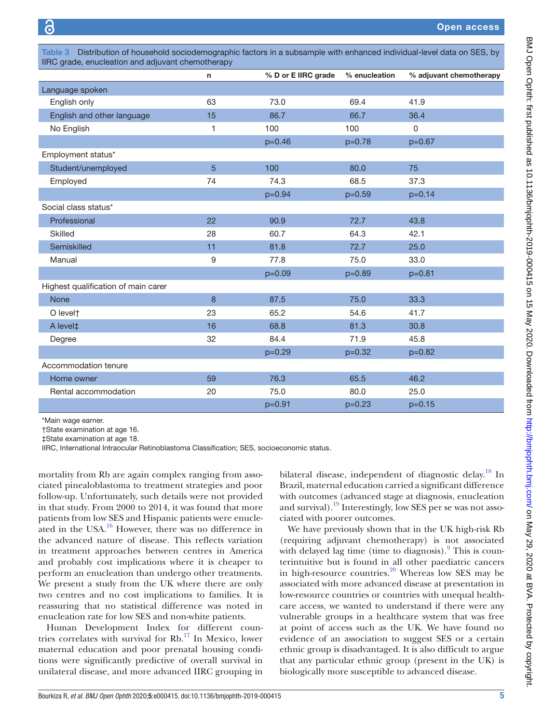<span id="page-4-0"></span>

| Distribution of household sociodemographic factors in a subsample with enhanced individual-level data on SES, by<br>Table 3<br>IIRC grade, enucleation and adjuvant chemotherapy |    |                     |               |                         |  |  |
|----------------------------------------------------------------------------------------------------------------------------------------------------------------------------------|----|---------------------|---------------|-------------------------|--|--|
|                                                                                                                                                                                  | n  | % D or E IIRC grade | % enucleation | % adjuvant chemotherapy |  |  |
| Language spoken                                                                                                                                                                  |    |                     |               |                         |  |  |
| English only                                                                                                                                                                     | 63 | 73.0                | 69.4          | 41.9                    |  |  |
| English and other language                                                                                                                                                       | 15 | 86.7                | 66.7          | 36.4                    |  |  |
| No English                                                                                                                                                                       | 1  | 100                 | 100           | $\Omega$                |  |  |
|                                                                                                                                                                                  |    | $p=0.46$            | $p=0.78$      | $p=0.67$                |  |  |
| Employment status*                                                                                                                                                               |    |                     |               |                         |  |  |
| Student/unemployed                                                                                                                                                               | 5  | 100                 | 80.0          | 75                      |  |  |
| Employed                                                                                                                                                                         | 74 | 74.3                | 68.5          | 37.3                    |  |  |
|                                                                                                                                                                                  |    | $p=0.94$            | $p=0.59$      | $p=0.14$                |  |  |
| Social class status*                                                                                                                                                             |    |                     |               |                         |  |  |
| Professional                                                                                                                                                                     | 22 | 90.9                | 72.7          | 43.8                    |  |  |
| <b>Skilled</b>                                                                                                                                                                   | 28 | 60.7                | 64.3          | 42.1                    |  |  |
| Semiskilled                                                                                                                                                                      | 11 | 81.8                | 72.7          | 25.0                    |  |  |
| Manual                                                                                                                                                                           | 9  | 77.8                | 75.0          | 33.0                    |  |  |
|                                                                                                                                                                                  |    | $p=0.09$            | $p=0.89$      | $p=0.81$                |  |  |
| Highest qualification of main carer                                                                                                                                              |    |                     |               |                         |  |  |
|                                                                                                                                                                                  |    |                     |               |                         |  |  |

None  $\begin{array}{ccccccccccccc}\n 8 & 87.5 & 75.0 & 33.3\n\end{array}$ O level† 23 65.2 54.6 41.7 A level‡ 16 68.8 81.3 30.8 Degree 32 84.4 71.9 45.8 p=0.29 p=0.32 p=0.82 p=0.82 p=0.82 p=0.82 p=0.82 p=0.82 p=0.82 p=0.82 p=0.82 p=0.82  $\pm$ 

Home owner 59 76.3 65.5 46.2 Rental accommodation 120 25.0 80.0 25.0 p=0.91 p=0.23 p=0.15 p=0.23 p=0.15

\*Main wage earner.

†State examination at age 16.

Accommodation tenure

‡State examination at age 18.

IIRC, International Intraocular Retinoblastoma Classification; SES, socioeconomic status.

mortality from Rb are again complex ranging from associated pinealoblastoma to treatment strategies and poor follow-up. Unfortunately, such details were not provided in that study. From 2000 to 2014, it was found that more patients from low SES and Hispanic patients were enucleated in the USA.<sup>16</sup> However, there was no difference in the advanced nature of disease. This reflects variation in treatment approaches between centres in America and probably cost implications where it is cheaper to perform an enucleation than undergo other treatments. We present a study from the UK where there are only two centres and no cost implications to families. It is reassuring that no statistical difference was noted in enucleation rate for low SES and non-white patients.

Human Development Index for different countries correlates with survival for Rb.[17](#page-5-11) In Mexico, lower maternal education and poor prenatal housing conditions were significantly predictive of overall survival in unilateral disease, and more advanced IIRC grouping in

bilateral disease, independent of diagnostic delay.<sup>[18](#page-5-12)</sup> In Brazil, maternal education carried a significant difference with outcomes (advanced stage at diagnosis, enucleation and survival).<sup>19</sup> Interestingly, low SES per se was not associated with poorer outcomes.

We have previously shown that in the UK high-risk Rb (requiring adjuvant chemotherapy) is not associated with delayed lag time (time to diagnosis). $9$  This is counterintuitive but is found in all other paediatric cancers in high-resource countries. $^{20}$  $^{20}$  $^{20}$  Whereas low SES may be associated with more advanced disease at presentation in low-resource countries or countries with unequal healthcare access, we wanted to understand if there were any vulnerable groups in a healthcare system that was free at point of access such as the UK. We have found no evidence of an association to suggest SES or a certain ethnic group is disadvantaged. It is also difficult to argue that any particular ethnic group (present in the UK) is biologically more susceptible to advanced disease.